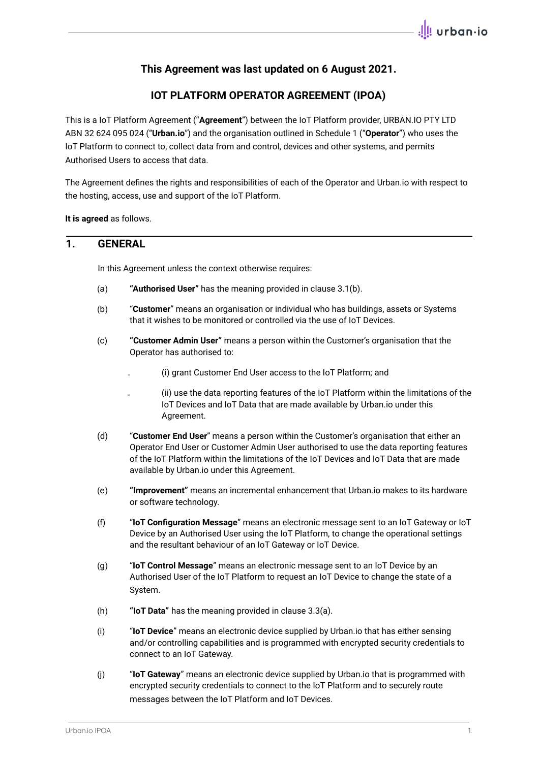# **This Agreement was last updated on 6 August 2021.**

# **IOT PLATFORM OPERATOR AGREEMENT (IPOA)**

This is a IoT Platform Agreement ("**Agreement**") between the IoT Platform provider, URBAN.IO PTY LTD ABN 32 624 095 024 ("**Urban.io**") and the organisation outlined in Schedule 1 ("**Operator**") who uses the IoT Platform to connect to, collect data from and control, devices and other systems, and permits Authorised Users to access that data.

The Agreement defines the rights and responsibilities of each of the Operator and Urban.io with respect to the hosting, access, use and support of the IoT Platform.

**It is agreed** as follows.

## **1. GENERAL**

In this Agreement unless the context otherwise requires:

- (a) **"Authorised User"** has the meaning provided in clause 3.1(b).
- (b) "**Customer**" means an organisation or individual who has buildings, assets or Systems that it wishes to be monitored or controlled via the use of IoT Devices.
- (c) **"Customer Admin User"** means a person within the Customer's organisation that the Operator has authorised to:
	- (i) grant Customer End User access to the IoT Platform; and
	- (ii) (ii) use the data reporting features of the IoT Platform within the limitations of the IoT Devices and IoT Data that are made available by Urban.io under this Agreement.
- (d) "**Customer End User**" means a person within the Customer's organisation that either an Operator End User or Customer Admin User authorised to use the data reporting features of the IoT Platform within the limitations of the IoT Devices and IoT Data that are made available by Urban.io under this Agreement.
- (e) **"Improvement"** means an incremental enhancement that Urban.io makes to its hardware or software technology.
- (f) "**IoT Configuration Message**" means an electronic message sent to an IoT Gateway or IoT Device by an Authorised User using the IoT Platform, to change the operational settings and the resultant behaviour of an IoT Gateway or IoT Device.
- (g) "**IoT Control Message**" means an electronic message sent to an IoT Device by an Authorised User of the IoT Platform to request an IoT Device to change the state of a System.
- (h) **"IoT Data"** has the meaning provided in clause 3.3(a).
- (i) "**IoT Device**" means an electronic device supplied by Urban.io that has either sensing and/or controlling capabilities and is programmed with encrypted security credentials to connect to an IoT Gateway.
- (j) "**IoT Gateway**" means an electronic device supplied by Urban.io that is programmed with encrypted security credentials to connect to the IoT Platform and to securely route messages between the IoT Platform and IoT Devices.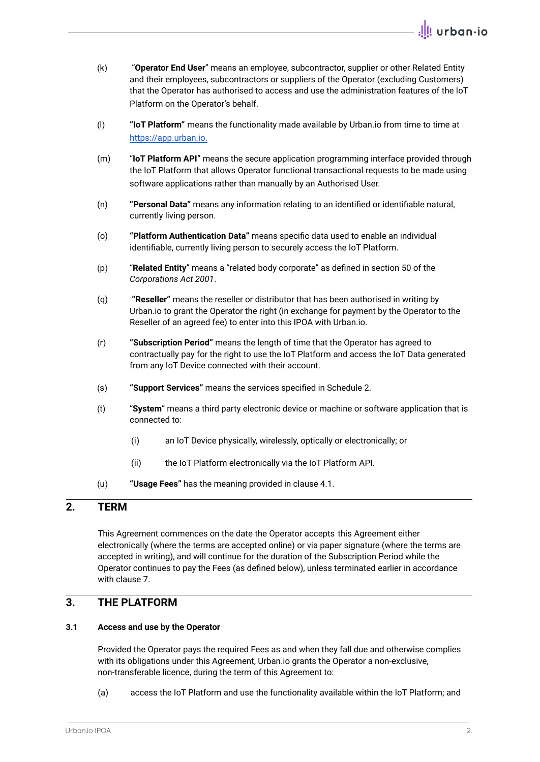- (k) "**Operator End User**" means an employee, subcontractor, supplier or other Related Entity and their employees, subcontractors or suppliers of the Operator (excluding Customers) that the Operator has authorised to access and use the administration features of the IoT Platform on the Operator's behalf.
- (l) **"IoT Platform"** means the functionality made available by Urban.io from time to time at [https://app.urban.io.](https://app.urban.io)
- (m) "**IoT Platform API**" means the secure application programming interface provided through the IoT Platform that allows Operator functional transactional requests to be made using software applications rather than manually by an Authorised User.
- (n) **"Personal Data"** means any information relating to an identified or identifiable natural, currently living person.
- (o) **"Platform Authentication Data"** means specific data used to enable an individual identifiable, currently living person to securely access the IoT Platform.
- (p) "**Related Entity**" means a "related body corporate" as defined in section 50 of the *Corporations Act 2001*.
- (q) **"Reseller"** means the reseller or distributor that has been authorised in writing by Urban.io to grant the Operator the right (in exchange for payment by the Operator to the Reseller of an agreed fee) to enter into this IPOA with Urban.io.
- (r) **"Subscription Period"** means the length of time that the Operator has agreed to contractually pay for the right to use the IoT Platform and access the IoT Data generated from any IoT Device connected with their account.
- (s) **"Support Services"** means the services specified in Schedule 2.
- (t) "**System**" means a third party electronic device or machine or software application that is connected to:
	- (i) an IoT Device physically, wirelessly, optically or electronically; or
	- (ii) the IoT Platform electronically via the IoT Platform API.
- (u) **"Usage Fees"** has the meaning provided in clause 4.1.

# **2. TERM**

This Agreement commences on the date the Operator accepts this Agreement either electronically (where the terms are accepted online) or via paper signature (where the terms are accepted in writing), and will continue for the duration of the Subscription Period while the Operator continues to pay the Fees (as defined below), unless terminated earlier in accordance with clause 7.

## **3. THE PLATFORM**

#### **3.1 Access and use by the Operator**

Provided the Operator pays the required Fees as and when they fall due and otherwise complies with its obligations under this Agreement, Urban.io grants the Operator a non-exclusive, non-transferable licence, during the term of this Agreement to:

(a) access the IoT Platform and use the functionality available within the IoT Platform; and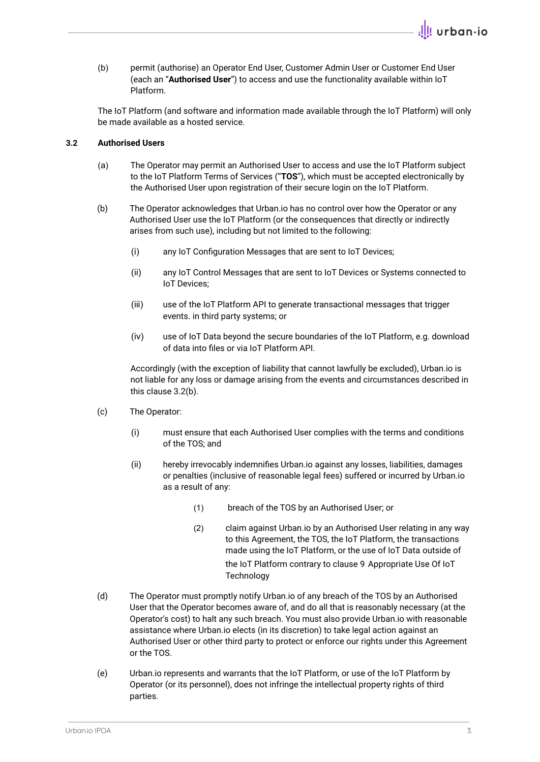(b) permit (authorise) an Operator End User, Customer Admin User or Customer End User (each an "**Authorised User**") to access and use the functionality available within IoT Platform.

The IoT Platform (and software and information made available through the IoT Platform) will only be made available as a hosted service.

## **3.2 Authorised Users**

- (a) The Operator may permit an Authorised User to access and use the IoT Platform subject to the IoT Platform Terms of Services ("**TOS**"), which must be accepted electronically by the Authorised User upon registration of their secure login on the IoT Platform.
- (b) The Operator acknowledges that Urban.io has no control over how the Operator or any Authorised User use the IoT Platform (or the consequences that directly or indirectly arises from such use), including but not limited to the following:
	- (i) any IoT Configuration Messages that are sent to IoT Devices;
	- (ii) any IoT Control Messages that are sent to IoT Devices or Systems connected to IoT Devices;
	- (iii) use of the IoT Platform API to generate transactional messages that trigger events. in third party systems; or
	- (iv) use of IoT Data beyond the secure boundaries of the IoT Platform, e.g. download of data into files or via IoT Platform API.

Accordingly (with the exception of liability that cannot lawfully be excluded), Urban.io is not liable for any loss or damage arising from the events and circumstances described in this clause 3.2(b).

- (c) The Operator:
	- (i) must ensure that each Authorised User complies with the terms and conditions of the TOS; and
	- (ii) hereby irrevocably indemnifies Urban.io against any losses, liabilities, damages or penalties (inclusive of reasonable legal fees) suffered or incurred by Urban.io as a result of any:
		- (1) breach of the TOS by an Authorised User; or
		- (2) claim against Urban.io by an Authorised User relating in any way to this Agreement, the TOS, the IoT Platform, the transactions made using the IoT Platform, or the use of IoT Data outside of the IoT Platform contrary to clause 9 Appropriate Use Of IoT **Technology**
- (d) The Operator must promptly notify Urban.io of any breach of the TOS by an Authorised User that the Operator becomes aware of, and do all that is reasonably necessary (at the Operator's cost) to halt any such breach. You must also provide Urban.io with reasonable assistance where Urban.io elects (in its discretion) to take legal action against an Authorised User or other third party to protect or enforce our rights under this Agreement or the TOS.
- (e) Urban.io represents and warrants that the IoT Platform, or use of the IoT Platform by Operator (or its personnel), does not infringe the intellectual property rights of third parties.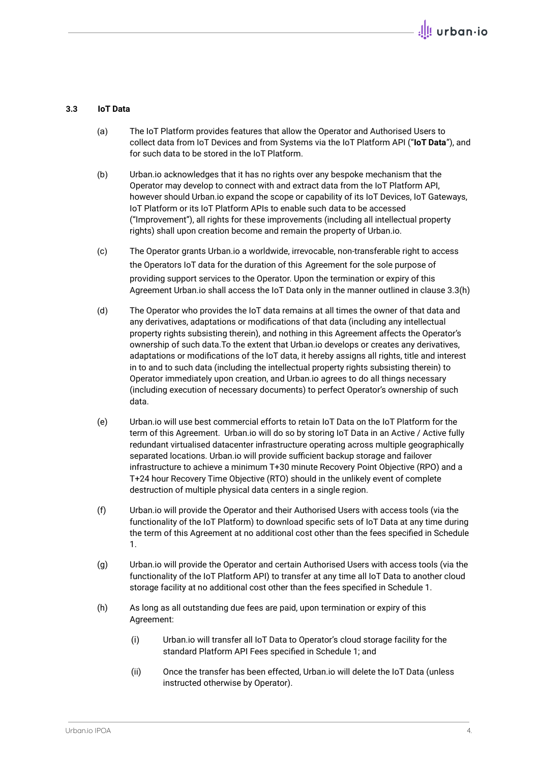### **3.3 IoT Data**

- (a) The IoT Platform provides features that allow the Operator and Authorised Users to collect data from IoT Devices and from Systems via the IoT Platform API ("**IoT Data**"), and for such data to be stored in the IoT Platform.
- (b) Urban.io acknowledges that it has no rights over any bespoke mechanism that the Operator may develop to connect with and extract data from the IoT Platform API, however should Urban.io expand the scope or capability of its IoT Devices, IoT Gateways, IoT Platform or its IoT Platform APIs to enable such data to be accessed ("Improvement"), all rights for these improvements (including all intellectual property rights) shall upon creation become and remain the property of Urban.io.
- (c) The Operator grants Urban.io a worldwide, irrevocable, non-transferable right to access the Operators IoT data for the duration of this Agreement for the sole purpose of providing support services to the Operator. Upon the termination or expiry of this Agreement Urban.io shall access the IoT Data only in the manner outlined in clause 3.3(h)
- (d) The Operator who provides the IoT data remains at all times the owner of that data and any derivatives, adaptations or modifications of that data (including any intellectual property rights subsisting therein), and nothing in this Agreement affects the Operator's ownership of such data.To the extent that Urban.io develops or creates any derivatives, adaptations or modifications of the IoT data, it hereby assigns all rights, title and interest in to and to such data (including the intellectual property rights subsisting therein) to Operator immediately upon creation, and Urban.io agrees to do all things necessary (including execution of necessary documents) to perfect Operator's ownership of such data.
- (e) Urban.io will use best commercial efforts to retain IoT Data on the IoT Platform for the term of this Agreement. Urban.io will do so by storing IoT Data in an Active / Active fully redundant virtualised datacenter infrastructure operating across multiple geographically separated locations. Urban.io will provide sufficient backup storage and failover infrastructure to achieve a minimum T+30 minute Recovery Point Objective (RPO) and a T+24 hour Recovery Time Objective (RTO) should in the unlikely event of complete destruction of multiple physical data centers in a single region.
- (f) Urban.io will provide the Operator and their Authorised Users with access tools (via the functionality of the IoT Platform) to download specific sets of IoT Data at any time during the term of this Agreement at no additional cost other than the fees specified in Schedule 1.
- (g) Urban.io will provide the Operator and certain Authorised Users with access tools (via the functionality of the IoT Platform API) to transfer at any time all IoT Data to another cloud storage facility at no additional cost other than the fees specified in Schedule 1.
- (h) As long as all outstanding due fees are paid, upon termination or expiry of this Agreement:
	- (i) Urban.io will transfer all IoT Data to Operator's cloud storage facility for the standard Platform API Fees specified in Schedule 1; and
	- (ii) Once the transfer has been effected, Urban.io will delete the IoT Data (unless instructed otherwise by Operator).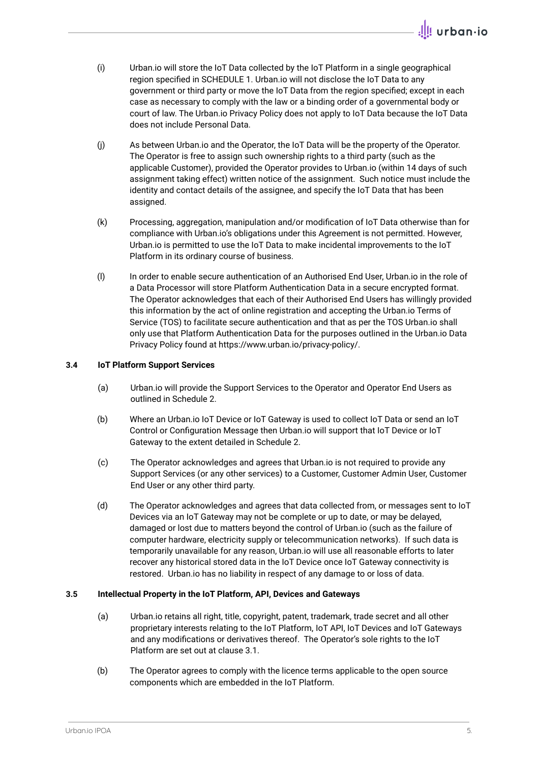- (i) Urban.io will store the IoT Data collected by the IoT Platform in a single geographical region specified in SCHEDULE 1. Urban.io will not disclose the IoT Data to any government or third party or move the IoT Data from the region specified; except in each case as necessary to comply with the law or a binding order of a governmental body or court of law. The Urban.io Privacy Policy does not apply to IoT Data because the IoT Data does not include Personal Data.
- (j) As between Urban.io and the Operator, the IoT Data will be the property of the Operator. The Operator is free to assign such ownership rights to a third party (such as the applicable Customer), provided the Operator provides to Urban.io (within 14 days of such assignment taking effect) written notice of the assignment. Such notice must include the identity and contact details of the assignee, and specify the IoT Data that has been assigned.
- (k) Processing, aggregation, manipulation and/or modification of IoT Data otherwise than for compliance with Urban.io's obligations under this Agreement is not permitted. However, Urban.io is permitted to use the IoT Data to make incidental improvements to the IoT Platform in its ordinary course of business.
- (l) In order to enable secure authentication of an Authorised End User, Urban.io in the role of a Data Processor will store Platform Authentication Data in a secure encrypted format. The Operator acknowledges that each of their Authorised End Users has willingly provided this information by the act of online registration and accepting the Urban.io Terms of Service (TOS) to facilitate secure authentication and that as per the TOS Urban.io shall only use that Platform Authentication Data for the purposes outlined in the Urban.io Data Privacy Policy found at https://www.urban.io/privacy-policy/.

## **3.4 IoT Platform Support Services**

- (a) Urban.io will provide the Support Services to the Operator and Operator End Users as outlined in Schedule 2.
- (b) Where an Urban.io IoT Device or IoT Gateway is used to collect IoT Data or send an IoT Control or Configuration Message then Urban.io will support that IoT Device or IoT Gateway to the extent detailed in Schedule 2.
- (c) The Operator acknowledges and agrees that Urban.io is not required to provide any Support Services (or any other services) to a Customer, Customer Admin User, Customer End User or any other third party.
- (d) The Operator acknowledges and agrees that data collected from, or messages sent to IoT Devices via an IoT Gateway may not be complete or up to date, or may be delayed, damaged or lost due to matters beyond the control of Urban.io (such as the failure of computer hardware, electricity supply or telecommunication networks). If such data is temporarily unavailable for any reason, Urban.io will use all reasonable efforts to later recover any historical stored data in the IoT Device once IoT Gateway connectivity is restored. Urban.io has no liability in respect of any damage to or loss of data.

## **3.5 Intellectual Property in the IoT Platform, API, Devices and Gateways**

- (a) Urban.io retains all right, title, copyright, patent, trademark, trade secret and all other proprietary interests relating to the IoT Platform, IoT API, IoT Devices and IoT Gateways and any modifications or derivatives thereof. The Operator's sole rights to the IoT Platform are set out at clause 3.1.
- (b) The Operator agrees to comply with the licence terms applicable to the open source components which are embedded in the IoT Platform.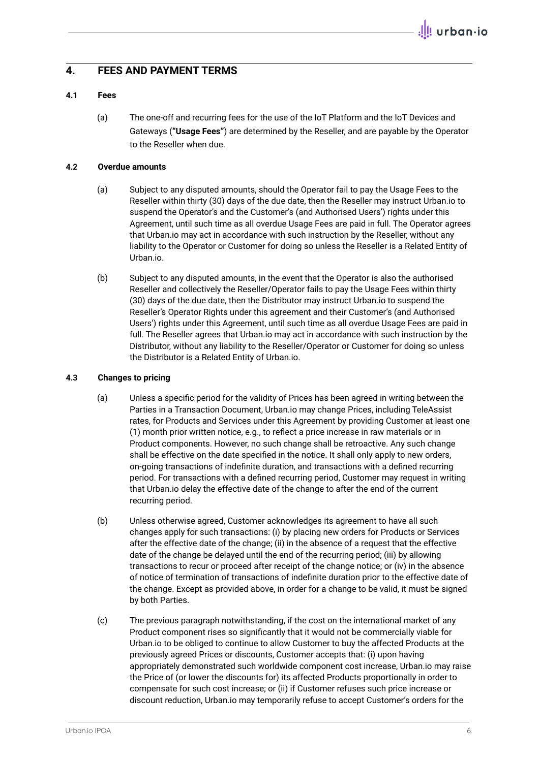## **4. FEES AND PAYMENT TERMS**

## **4.1 Fees**

(a) The one-off and recurring fees for the use of the IoT Platform and the IoT Devices and Gateways (**"Usage Fees"**) are determined by the Reseller, and are payable by the Operator to the Reseller when due.

### **4.2 Overdue amounts**

- (a) Subject to any disputed amounts, should the Operator fail to pay the Usage Fees to the Reseller within thirty (30) days of the due date, then the Reseller may instruct Urban.io to suspend the Operator's and the Customer's (and Authorised Users') rights under this Agreement, until such time as all overdue Usage Fees are paid in full. The Operator agrees that Urban.io may act in accordance with such instruction by the Reseller, without any liability to the Operator or Customer for doing so unless the Reseller is a Related Entity of Urban.io.
- (b) Subject to any disputed amounts, in the event that the Operator is also the authorised Reseller and collectively the Reseller/Operator fails to pay the Usage Fees within thirty (30) days of the due date, then the Distributor may instruct Urban.io to suspend the Reseller's Operator Rights under this agreement and their Customer's (and Authorised Users') rights under this Agreement, until such time as all overdue Usage Fees are paid in full. The Reseller agrees that Urban.io may act in accordance with such instruction by the Distributor, without any liability to the Reseller/Operator or Customer for doing so unless the Distributor is a Related Entity of Urban.io.

#### **4.3 Changes to pricing**

- (a) Unless a specific period for the validity of Prices has been agreed in writing between the Parties in a Transaction Document, Urban.io may change Prices, including TeleAssist rates, for Products and Services under this Agreement by providing Customer at least one (1) month prior written notice, e.g., to reflect a price increase in raw materials or in Product components. However, no such change shall be retroactive. Any such change shall be effective on the date specified in the notice. It shall only apply to new orders, on-going transactions of indefinite duration, and transactions with a defined recurring period. For transactions with a defined recurring period, Customer may request in writing that Urban.io delay the effective date of the change to after the end of the current recurring period.
- (b) Unless otherwise agreed, Customer acknowledges its agreement to have all such changes apply for such transactions: (i) by placing new orders for Products or Services after the effective date of the change; (ii) in the absence of a request that the effective date of the change be delayed until the end of the recurring period; (iii) by allowing transactions to recur or proceed after receipt of the change notice; or (iv) in the absence of notice of termination of transactions of indefinite duration prior to the effective date of the change. Except as provided above, in order for a change to be valid, it must be signed by both Parties.
- (c) The previous paragraph notwithstanding, if the cost on the international market of any Product component rises so significantly that it would not be commercially viable for Urban.io to be obliged to continue to allow Customer to buy the affected Products at the previously agreed Prices or discounts, Customer accepts that: (i) upon having appropriately demonstrated such worldwide component cost increase, Urban.io may raise the Price of (or lower the discounts for) its affected Products proportionally in order to compensate for such cost increase; or (ii) if Customer refuses such price increase or discount reduction, Urban.io may temporarily refuse to accept Customer's orders for the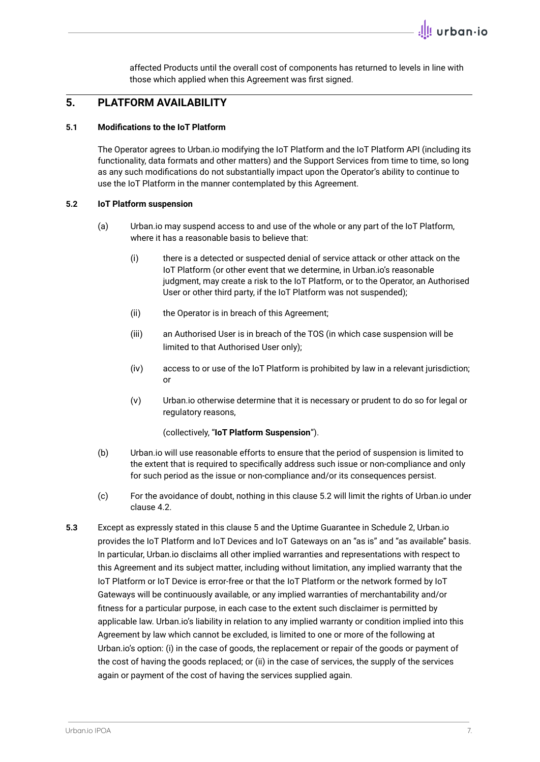affected Products until the overall cost of components has returned to levels in line with those which applied when this Agreement was first signed.

## **5. PLATFORM AVAILABILITY**

#### **5.1 Modifications to the IoT Platform**

The Operator agrees to Urban.io modifying the IoT Platform and the IoT Platform API (including its functionality, data formats and other matters) and the Support Services from time to time, so long as any such modifications do not substantially impact upon the Operator's ability to continue to use the IoT Platform in the manner contemplated by this Agreement.

### **5.2 IoT Platform suspension**

- (a) Urban.io may suspend access to and use of the whole or any part of the IoT Platform, where it has a reasonable basis to believe that:
	- (i) there is a detected or suspected denial of service attack or other attack on the IoT Platform (or other event that we determine, in Urban.io's reasonable judgment, may create a risk to the IoT Platform, or to the Operator, an Authorised User or other third party, if the IoT Platform was not suspended);
	- (ii) the Operator is in breach of this Agreement;
	- (iii) an Authorised User is in breach of the TOS (in which case suspension will be limited to that Authorised User only);
	- (iv) access to or use of the IoT Platform is prohibited by law in a relevant jurisdiction; or
	- (v) Urban.io otherwise determine that it is necessary or prudent to do so for legal or regulatory reasons,

(collectively, "**IoT Platform Suspension**").

- (b) Urban.io will use reasonable efforts to ensure that the period of suspension is limited to the extent that is required to specifically address such issue or non-compliance and only for such period as the issue or non-compliance and/or its consequences persist.
- (c) For the avoidance of doubt, nothing in this clause 5.2 will limit the rights of Urban.io under clause 4.2.
- **5.3** Except as expressly stated in this clause 5 and the Uptime Guarantee in Schedule 2, Urban.io provides the IoT Platform and IoT Devices and IoT Gateways on an "as is" and "as available" basis. In particular, Urban.io disclaims all other implied warranties and representations with respect to this Agreement and its subject matter, including without limitation, any implied warranty that the IoT Platform or IoT Device is error-free or that the IoT Platform or the network formed by IoT Gateways will be continuously available, or any implied warranties of merchantability and/or fitness for a particular purpose, in each case to the extent such disclaimer is permitted by applicable law. Urban.io's liability in relation to any implied warranty or condition implied into this Agreement by law which cannot be excluded, is limited to one or more of the following at Urban.io's option: (i) in the case of goods, the replacement or repair of the goods or payment of the cost of having the goods replaced; or (ii) in the case of services, the supply of the services again or payment of the cost of having the services supplied again.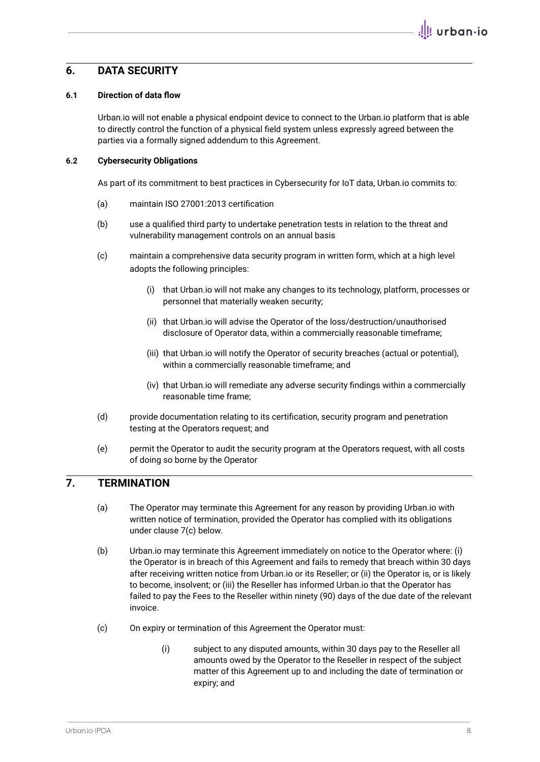## **6. DATA SECURITY**

## **6.1 Direction of data flow**

Urban.io will not enable a physical endpoint device to connect to the Urban.io platform that is able to directly control the function of a physical field system unless expressly agreed between the parties via a formally signed addendum to this Agreement.

### **6.2 Cybersecurity Obligations**

As part of its commitment to best practices in Cybersecurity for IoT data, Urban.io commits to:

- (a) maintain ISO 27001:2013 certification
- (b) use a qualified third party to undertake penetration tests in relation to the threat and vulnerability management controls on an annual basis
- (c) maintain a comprehensive data security program in written form, which at a high level adopts the following principles:
	- (i) that Urban.io will not make any changes to its technology, platform, processes or personnel that materially weaken security;
	- (ii) that Urban.io will advise the Operator of the loss/destruction/unauthorised disclosure of Operator data, within a commercially reasonable timeframe;
	- (iii) that Urban.io will notify the Operator of security breaches (actual or potential), within a commercially reasonable timeframe; and
	- (iv) that Urban.io will remediate any adverse security findings within a commercially reasonable time frame;
- (d) provide documentation relating to its certification, security program and penetration testing at the Operators request; and
- (e) permit the Operator to audit the security program at the Operators request, with all costs of doing so borne by the Operator

# **7. TERMINATION**

- (a) The Operator may terminate this Agreement for any reason by providing Urban.io with written notice of termination, provided the Operator has complied with its obligations under clause 7(c) below.
- (b) Urban.io may terminate this Agreement immediately on notice to the Operator where: (i) the Operator is in breach of this Agreement and fails to remedy that breach within 30 days after receiving written notice from Urban.io or its Reseller; or (ii) the Operator is, or is likely to become, insolvent; or (iii) the Reseller has informed Urban.io that the Operator has failed to pay the Fees to the Reseller within ninety (90) days of the due date of the relevant invoice.
- (c) On expiry or termination of this Agreement the Operator must:
	- (i) subject to any disputed amounts, within 30 days pay to the Reseller all amounts owed by the Operator to the Reseller in respect of the subject matter of this Agreement up to and including the date of termination or expiry; and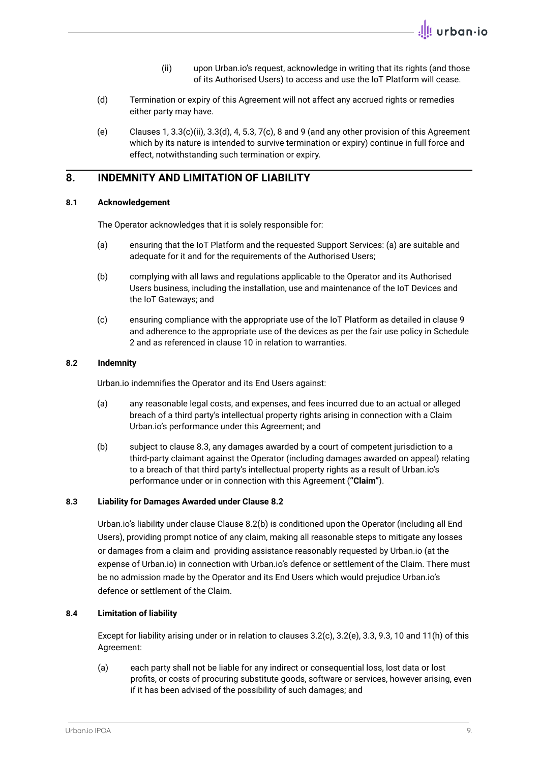- (ii) upon Urban.io's request, acknowledge in writing that its rights (and those of its Authorised Users) to access and use the IoT Platform will cease.
- (d) Termination or expiry of this Agreement will not affect any accrued rights or remedies either party may have.
- (e) Clauses 1, 3.3(c)(ii), 3.3(d), 4, 5.3, 7(c), 8 and 9 (and any other provision of this Agreement which by its nature is intended to survive termination or expiry) continue in full force and effect, notwithstanding such termination or expiry.

# **8. INDEMNITY AND LIMITATION OF LIABILITY**

### **8.1 Acknowledgement**

The Operator acknowledges that it is solely responsible for:

- (a) ensuring that the IoT Platform and the requested Support Services: (a) are suitable and adequate for it and for the requirements of the Authorised Users;
- (b) complying with all laws and regulations applicable to the Operator and its Authorised Users business, including the installation, use and maintenance of the IoT Devices and the IoT Gateways; and
- (c) ensuring compliance with the appropriate use of the IoT Platform as detailed in clause 9 and adherence to the appropriate use of the devices as per the fair use policy in Schedule 2 and as referenced in clause 10 in relation to warranties.

### **8.2 Indemnity**

Urban.io indemnifies the Operator and its End Users against:

- (a) any reasonable legal costs, and expenses, and fees incurred due to an actual or alleged breach of a third party's intellectual property rights arising in connection with a Claim Urban.io's performance under this Agreement; and
- (b) subject to clause 8.3, any damages awarded by a court of competent jurisdiction to a third-party claimant against the Operator (including damages awarded on appeal) relating to a breach of that third party's intellectual property rights as a result of Urban.io's performance under or in connection with this Agreement (**"Claim"**).

#### **8.3 Liability for Damages Awarded under Clause 8.2**

Urban.io's liability under clause Clause 8.2(b) is conditioned upon the Operator (including all End Users), providing prompt notice of any claim, making all reasonable steps to mitigate any losses or damages from a claim and providing assistance reasonably requested by Urban.io (at the expense of Urban.io) in connection with Urban.io's defence or settlement of the Claim. There must be no admission made by the Operator and its End Users which would prejudice Urban.io's defence or settlement of the Claim.

## **8.4 Limitation of liability**

Except for liability arising under or in relation to clauses 3.2(c), 3.2(e), 3.3, 9.3, 10 and 11(h) of this Agreement:

(a) each party shall not be liable for any indirect or consequential loss, lost data or lost profits, or costs of procuring substitute goods, software or services, however arising, even if it has been advised of the possibility of such damages; and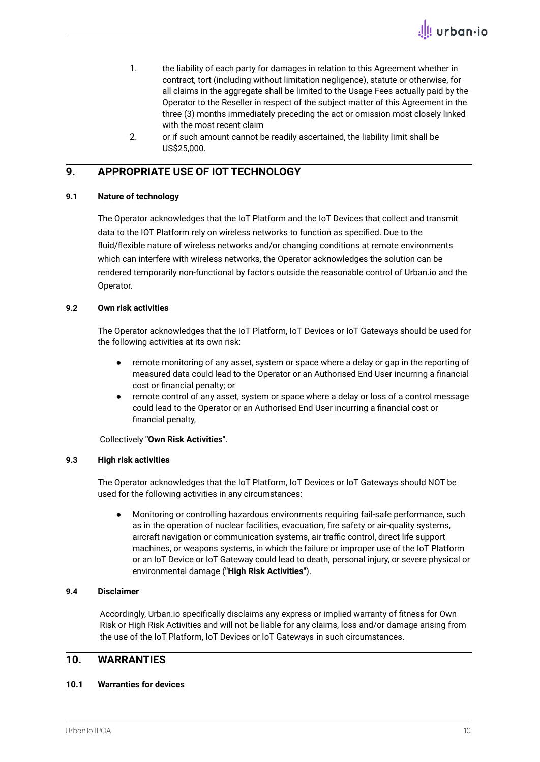- 1. the liability of each party for damages in relation to this Agreement whether in contract, tort (including without limitation negligence), statute or otherwise, for all claims in the aggregate shall be limited to the Usage Fees actually paid by the Operator to the Reseller in respect of the subject matter of this Agreement in the three (3) months immediately preceding the act or omission most closely linked with the most recent claim
- 2. or if such amount cannot be readily ascertained, the liability limit shall be US\$25,000.

# **9. APPROPRIATE USE OF IOT TECHNOLOGY**

## **9.1 Nature of technology**

The Operator acknowledges that the IoT Platform and the IoT Devices that collect and transmit data to the IOT Platform rely on wireless networks to function as specified. Due to the fluid/flexible nature of wireless networks and/or changing conditions at remote environments which can interfere with wireless networks, the Operator acknowledges the solution can be rendered temporarily non-functional by factors outside the reasonable control of Urban.io and the Operator.

## **9.2 Own risk activities**

The Operator acknowledges that the IoT Platform, IoT Devices or IoT Gateways should be used for the following activities at its own risk:

- remote monitoring of any asset, system or space where a delay or gap in the reporting of measured data could lead to the Operator or an Authorised End User incurring a financial cost or financial penalty; or
- remote control of any asset, system or space where a delay or loss of a control message could lead to the Operator or an Authorised End User incurring a financial cost or financial penalty,

Collectively **"Own Risk Activities"**.

## **9.3 High risk activities**

The Operator acknowledges that the IoT Platform, IoT Devices or IoT Gateways should NOT be used for the following activities in any circumstances:

Monitoring or controlling hazardous environments requiring fail-safe performance, such as in the operation of nuclear facilities, evacuation, fire safety or air-quality systems, aircraft navigation or communication systems, air traffic control, direct life support machines, or weapons systems, in which the failure or improper use of the IoT Platform or an IoT Device or IoT Gateway could lead to death, personal injury, or severe physical or environmental damage (**"High Risk Activities"**).

## **9.4 Disclaimer**

Accordingly, Urban.io specifically disclaims any express or implied warranty of fitness for Own Risk or High Risk Activities and will not be liable for any claims, loss and/or damage arising from the use of the IoT Platform, IoT Devices or IoT Gateways in such circumstances.

# **10. WARRANTIES**

## **10.1 Warranties for devices**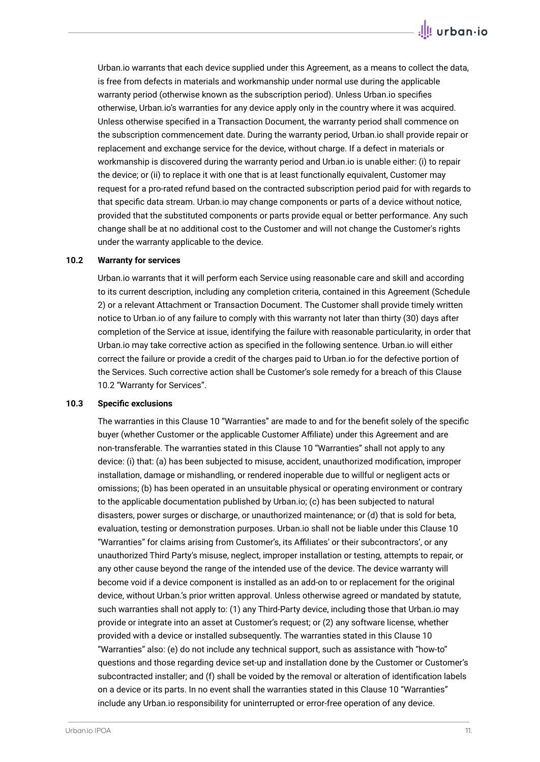Urban.io warrants that each device supplied under this Agreement, as a means to collect the data, is free from defects in materials and workmanship under normal use during the applicable warranty period (otherwise known as the subscription period). Unless Urban.io specifies otherwise, Urban.io's warranties for any device apply only in the country where it was acquired. Unless otherwise specified in a Transaction Document, the warranty period shall commence on the subscription commencement date. During the warranty period, Urban.io shall provide repair or replacement and exchange service for the device, without charge. If a defect in materials or workmanship is discovered during the warranty period and Urban.io is unable either: (i) to repair the device; or (ii) to replace it with one that is at least functionally equivalent, Customer may request for a pro-rated refund based on the contracted subscription period paid for with regards to that specific data stream. Urban.io may change components or parts of a device without notice, provided that the substituted components or parts provide equal or better performance. Any such change shall be at no additional cost to the Customer and will not change the Customer's rights under the warranty applicable to the device.

#### **10.2 Warranty for services**

Urban.io warrants that it will perform each Service using reasonable care and skill and according to its current description, including any completion criteria, contained in this Agreement (Schedule 2) or a relevant Attachment or Transaction Document. The Customer shall provide timely written notice to Urban.io of any failure to comply with this warranty not later than thirty (30) days after completion of the Service at issue, identifying the failure with reasonable particularity, in order that Urban.io may take corrective action as specified in the following sentence. Urban.io will either correct the failure or provide a credit of the charges paid to Urban.io for the defective portion of the Services. Such corrective action shall be Customer's sole remedy for a breach of this Clause 10.2 "Warranty for Services".

#### **10.3 Specific exclusions**

The warranties in this Clause 10 "Warranties" are made to and for the benefit solely of the specific buyer (whether Customer or the applicable Customer Affiliate) under this Agreement and are non-transferable. The warranties stated in this Clause 10 "Warranties" shall not apply to any device: (i) that: (a) has been subjected to misuse, accident, unauthorized modification, improper installation, damage or mishandling, or rendered inoperable due to willful or negligent acts or omissions; (b) has been operated in an unsuitable physical or operating environment or contrary to the applicable documentation published by Urban.io; (c) has been subjected to natural disasters, power surges or discharge, or unauthorized maintenance; or (d) that is sold for beta, evaluation, testing or demonstration purposes. Urban.io shall not be liable under this Clause 10 "Warranties" for claims arising from Customer's, its Affiliates' or their subcontractors', or any unauthorized Third Party's misuse, neglect, improper installation or testing, attempts to repair, or any other cause beyond the range of the intended use of the device. The device warranty will become void if a device component is installed as an add-on to or replacement for the original device, without Urban.'s prior written approval. Unless otherwise agreed or mandated by statute, such warranties shall not apply to: (1) any Third-Party device, including those that Urban.io may provide or integrate into an asset at Customer's request; or (2) any software license, whether provided with a device or installed subsequently. The warranties stated in this Clause 10 "Warranties" also: (e) do not include any technical support, such as assistance with "how-to" questions and those regarding device set-up and installation done by the Customer or Customer's subcontracted installer; and (f) shall be voided by the removal or alteration of identification labels on a device or its parts. In no event shall the warranties stated in this Clause 10 "Warranties" include any Urban.io responsibility for uninterrupted or error-free operation of any device.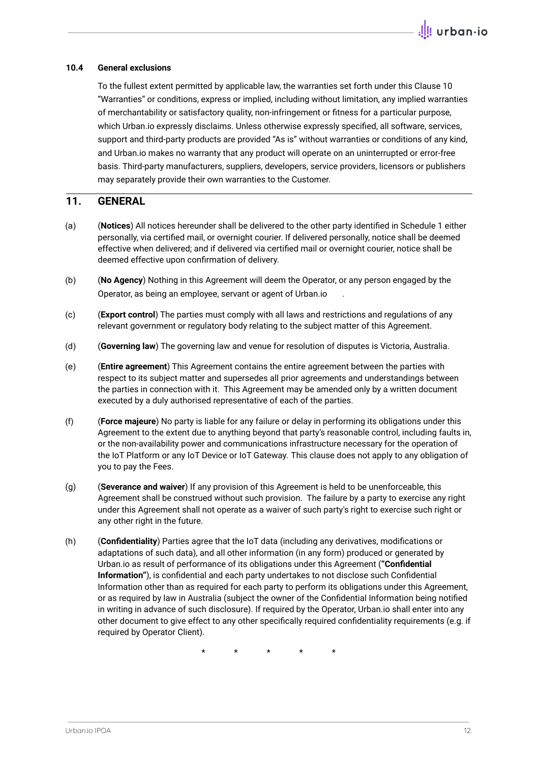## **10.4 General exclusions**

To the fullest extent permitted by applicable law, the warranties set forth under this Clause 10 "Warranties" or conditions, express or implied, including without limitation, any implied warranties of merchantability or satisfactory quality, non-infringement or fitness for a particular purpose, which Urban.io expressly disclaims. Unless otherwise expressly specified, all software, services, support and third-party products are provided "As is" without warranties or conditions of any kind, and Urban.io makes no warranty that any product will operate on an uninterrupted or error-free basis. Third-party manufacturers, suppliers, developers, service providers, licensors or publishers may separately provide their own warranties to the Customer.

## **11. GENERAL**

- (a) (**Notices**) All notices hereunder shall be delivered to the other party identified in Schedule 1 either personally, via certified mail, or overnight courier. If delivered personally, notice shall be deemed effective when delivered; and if delivered via certified mail or overnight courier, notice shall be deemed effective upon confirmation of delivery.
- (b) (**No Agency**) Nothing in this Agreement will deem the Operator, or any person engaged by the Operator, as being an employee, servant or agent of Urban.io .
- (c) (**Export control**) The parties must comply with all laws and restrictions and regulations of any relevant government or regulatory body relating to the subject matter of this Agreement.
- (d) (**Governing law**) The governing law and venue for resolution of disputes is Victoria, Australia.
- (e) (**Entire agreement**) This Agreement contains the entire agreement between the parties with respect to its subject matter and supersedes all prior agreements and understandings between the parties in connection with it. This Agreement may be amended only by a written document executed by a duly authorised representative of each of the parties.
- (f) (**Force majeure**) No party is liable for any failure or delay in performing its obligations under this Agreement to the extent due to anything beyond that party's reasonable control, including faults in, or the non-availability power and communications infrastructure necessary for the operation of the IoT Platform or any IoT Device or IoT Gateway. This clause does not apply to any obligation of you to pay the Fees.
- (g) (**Severance and waiver**) If any provision of this Agreement is held to be unenforceable, this Agreement shall be construed without such provision. The failure by a party to exercise any right under this Agreement shall not operate as a waiver of such party's right to exercise such right or any other right in the future.
- (h) (**Confidentiality**) Parties agree that the IoT data (including any derivatives, modifications or adaptations of such data), and all other information (in any form) produced or generated by Urban.io as result of performance of its obligations under this Agreement (**"Confidential Information"**), is confidential and each party undertakes to not disclose such Confidential Information other than as required for each party to perform its obligations under this Agreement, or as required by law in Australia (subject the owner of the Confidential Information being notified in writing in advance of such disclosure). If required by the Operator, Urban.io shall enter into any other document to give effect to any other specifically required confidentiality requirements (e.g. if required by Operator Client).

\* \* \* \* \*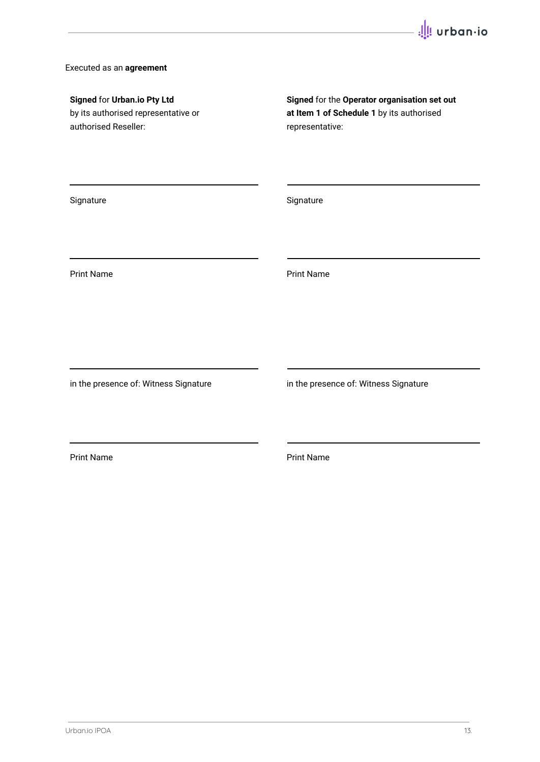## Executed as an **agreement**

| Signed for Urban.io Pty Ltd<br>by its authorised representative or<br>authorised Reseller: | Signed for the Operator organisation set out<br>at Item 1 of Schedule 1 by its authorised<br>representative: |
|--------------------------------------------------------------------------------------------|--------------------------------------------------------------------------------------------------------------|
| Signature                                                                                  | Signature                                                                                                    |
| <b>Print Name</b>                                                                          | <b>Print Name</b>                                                                                            |
| in the presence of: Witness Signature                                                      | in the presence of: Witness Signature                                                                        |
| <b>Print Name</b>                                                                          | <b>Print Name</b>                                                                                            |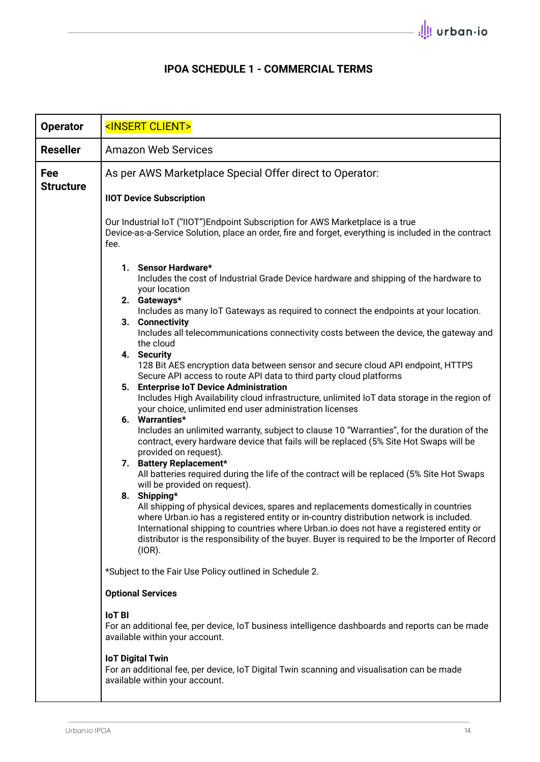# **IPOA SCHEDULE 1 - COMMERCIAL TERMS**

| <b>Operator</b>         | <insert client=""></insert>                                                                                                                                                                                                                                                                                                                                                                                                                                                                                                                                                                                                                                                                                                                                                                                                                                                                                                                                                                                                                                                                                                                                                                                                                                                                                                                                                                                                                                                                                                              |  |
|-------------------------|------------------------------------------------------------------------------------------------------------------------------------------------------------------------------------------------------------------------------------------------------------------------------------------------------------------------------------------------------------------------------------------------------------------------------------------------------------------------------------------------------------------------------------------------------------------------------------------------------------------------------------------------------------------------------------------------------------------------------------------------------------------------------------------------------------------------------------------------------------------------------------------------------------------------------------------------------------------------------------------------------------------------------------------------------------------------------------------------------------------------------------------------------------------------------------------------------------------------------------------------------------------------------------------------------------------------------------------------------------------------------------------------------------------------------------------------------------------------------------------------------------------------------------------|--|
| <b>Reseller</b>         | <b>Amazon Web Services</b>                                                                                                                                                                                                                                                                                                                                                                                                                                                                                                                                                                                                                                                                                                                                                                                                                                                                                                                                                                                                                                                                                                                                                                                                                                                                                                                                                                                                                                                                                                               |  |
| Fee<br><b>Structure</b> | As per AWS Marketplace Special Offer direct to Operator:<br><b>IIOT Device Subscription</b>                                                                                                                                                                                                                                                                                                                                                                                                                                                                                                                                                                                                                                                                                                                                                                                                                                                                                                                                                                                                                                                                                                                                                                                                                                                                                                                                                                                                                                              |  |
|                         | Our Industrial IoT ("IIOT") Endpoint Subscription for AWS Marketplace is a true<br>Device-as-a-Service Solution, place an order, fire and forget, everything is included in the contract<br>fee.                                                                                                                                                                                                                                                                                                                                                                                                                                                                                                                                                                                                                                                                                                                                                                                                                                                                                                                                                                                                                                                                                                                                                                                                                                                                                                                                         |  |
|                         | 1. Sensor Hardware*<br>Includes the cost of Industrial Grade Device hardware and shipping of the hardware to<br>your location<br>2. Gateways*<br>Includes as many IoT Gateways as required to connect the endpoints at your location.<br>3. Connectivity<br>Includes all telecommunications connectivity costs between the device, the gateway and<br>the cloud<br>4. Security<br>128 Bit AES encryption data between sensor and secure cloud API endpoint, HTTPS<br>Secure API access to route API data to third party cloud platforms<br>5. Enterprise IoT Device Administration<br>Includes High Availability cloud infrastructure, unlimited IoT data storage in the region of<br>your choice, unlimited end user administration licenses<br>6. Warranties*<br>Includes an unlimited warranty, subject to clause 10 "Warranties", for the duration of the<br>contract, every hardware device that fails will be replaced (5% Site Hot Swaps will be<br>provided on request).<br>7. Battery Replacement*<br>All batteries required during the life of the contract will be replaced (5% Site Hot Swaps<br>will be provided on request).<br>8. Shipping*<br>All shipping of physical devices, spares and replacements domestically in countries<br>where Urban.io has a registered entity or in-country distribution network is included.<br>International shipping to countries where Urban.io does not have a registered entity or<br>distributor is the responsibility of the buyer. Buyer is required to be the Importer of Record |  |
|                         | (IOR).<br>*Subject to the Fair Use Policy outlined in Schedule 2.                                                                                                                                                                                                                                                                                                                                                                                                                                                                                                                                                                                                                                                                                                                                                                                                                                                                                                                                                                                                                                                                                                                                                                                                                                                                                                                                                                                                                                                                        |  |
|                         | <b>Optional Services</b>                                                                                                                                                                                                                                                                                                                                                                                                                                                                                                                                                                                                                                                                                                                                                                                                                                                                                                                                                                                                                                                                                                                                                                                                                                                                                                                                                                                                                                                                                                                 |  |
|                         | <b>IoT BI</b><br>For an additional fee, per device, IoT business intelligence dashboards and reports can be made<br>available within your account.                                                                                                                                                                                                                                                                                                                                                                                                                                                                                                                                                                                                                                                                                                                                                                                                                                                                                                                                                                                                                                                                                                                                                                                                                                                                                                                                                                                       |  |
|                         | <b>IoT Digital Twin</b><br>For an additional fee, per device, IoT Digital Twin scanning and visualisation can be made<br>available within your account.                                                                                                                                                                                                                                                                                                                                                                                                                                                                                                                                                                                                                                                                                                                                                                                                                                                                                                                                                                                                                                                                                                                                                                                                                                                                                                                                                                                  |  |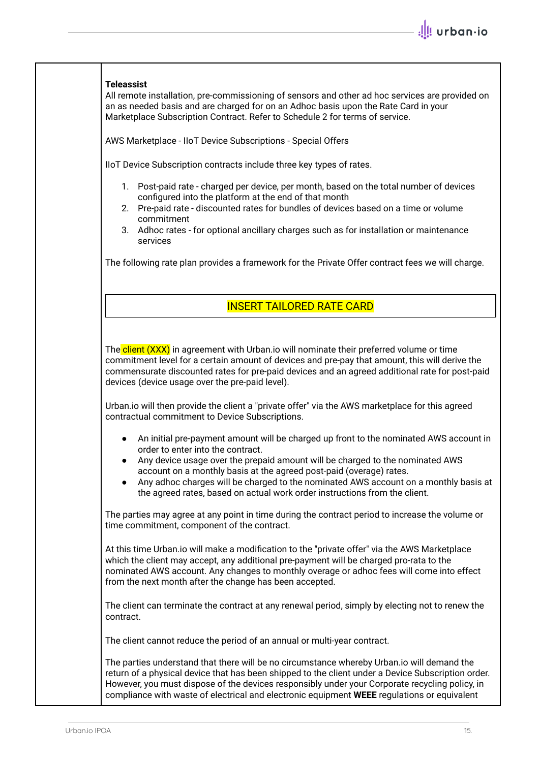## **Teleassist**

All remote installation, pre-commissioning of sensors and other ad hoc services are provided on an as needed basis and are charged for on an Adhoc basis upon the Rate Card in your Marketplace Subscription Contract. Refer to Schedule 2 for terms of service.

AWS Marketplace - IIoT Device Subscriptions - Special Offers

IIoT Device Subscription contracts include three key types of rates.

- 1. Post-paid rate charged per device, per month, based on the total number of devices configured into the platform at the end of that month
- 2. Pre-paid rate discounted rates for bundles of devices based on a time or volume commitment
- 3. Adhoc rates for optional ancillary charges such as for installation or maintenance services

The following rate plan provides a framework for the Private Offer contract fees we will charge.

# INSERT TAILORED RATE CARD

The client (XXX) in agreement with Urban.io will nominate their preferred volume or time commitment level for a certain amount of devices and pre-pay that amount, this will derive the commensurate discounted rates for pre-paid devices and an agreed additional rate for post-paid devices (device usage over the pre-paid level).

Urban.io will then provide the client a "private offer" via the AWS marketplace for this agreed contractual commitment to Device Subscriptions.

- An initial pre-payment amount will be charged up front to the nominated AWS account in order to enter into the contract.
- Any device usage over the prepaid amount will be charged to the nominated AWS account on a monthly basis at the agreed post-paid (overage) rates.
- Any adhoc charges will be charged to the nominated AWS account on a monthly basis at the agreed rates, based on actual work order instructions from the client.

The parties may agree at any point in time during the contract period to increase the volume or time commitment, component of the contract.

At this time Urban.io will make a modification to the "private offer" via the AWS Marketplace which the client may accept, any additional pre-payment will be charged pro-rata to the nominated AWS account. Any changes to monthly overage or adhoc fees will come into effect from the next month after the change has been accepted.

The client can terminate the contract at any renewal period, simply by electing not to renew the contract.

The client cannot reduce the period of an annual or multi-year contract.

The parties understand that there will be no circumstance whereby Urban.io will demand the return of a physical device that has been shipped to the client under a Device Subscription order. However, you must dispose of the devices responsibly under your Corporate recycling policy, in compliance with waste of electrical and electronic equipment **WEEE** regulations or equivalent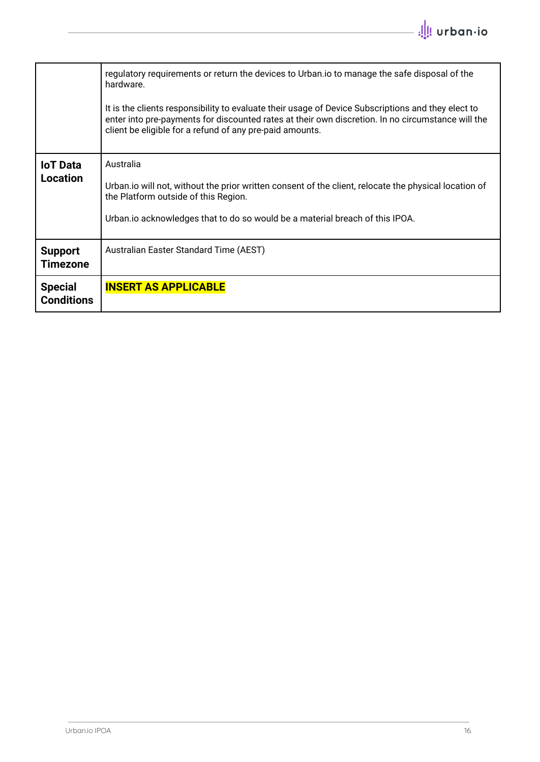|                                     | regulatory requirements or return the devices to Urban. io to manage the safe disposal of the<br>hardware.<br>It is the clients responsibility to evaluate their usage of Device Subscriptions and they elect to<br>enter into pre-payments for discounted rates at their own discretion. In no circumstance will the<br>client be eligible for a refund of any pre-paid amounts. |
|-------------------------------------|-----------------------------------------------------------------------------------------------------------------------------------------------------------------------------------------------------------------------------------------------------------------------------------------------------------------------------------------------------------------------------------|
| <b>IoT</b> Data<br><b>Location</b>  | Australia<br>Urban. io will not, without the prior written consent of the client, relocate the physical location of<br>the Platform outside of this Region.<br>Urban. io acknowledges that to do so would be a material breach of this IPOA.                                                                                                                                      |
| <b>Support</b><br><b>Timezone</b>   | Australian Easter Standard Time (AEST)                                                                                                                                                                                                                                                                                                                                            |
| <b>Special</b><br><b>Conditions</b> | <b>INSERT AS APPLICABLE</b>                                                                                                                                                                                                                                                                                                                                                       |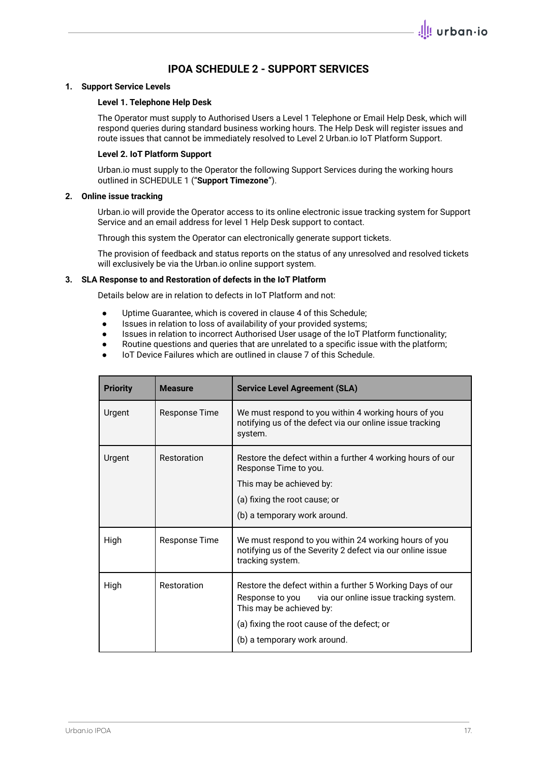# **IPOA SCHEDULE 2 - SUPPORT SERVICES**

#### **1. Support Service Levels**

#### **Level 1. Telephone Help Desk**

The Operator must supply to Authorised Users a Level 1 Telephone or Email Help Desk, which will respond queries during standard business working hours. The Help Desk will register issues and route issues that cannot be immediately resolved to Level 2 Urban.io IoT Platform Support.

#### **Level 2. IoT Platform Support**

Urban.io must supply to the Operator the following Support Services during the working hours outlined in SCHEDULE 1 ("**Support Timezone**").

#### **2. Online issue tracking**

Urban.io will provide the Operator access to its online electronic issue tracking system for Support Service and an email address for level 1 Help Desk support to contact.

Through this system the Operator can electronically generate support tickets.

The provision of feedback and status reports on the status of any unresolved and resolved tickets will exclusively be via the Urban.io online support system.

#### **3. SLA Response to and Restoration of defects in the IoT Platform**

Details below are in relation to defects in IoT Platform and not:

- Uptime Guarantee, which is covered in clause 4 of this Schedule;
- Issues in relation to loss of availability of your provided systems;
- Issues in relation to incorrect Authorised User usage of the IoT Platform functionality;
- Routine questions and queries that are unrelated to a specific issue with the platform;
- IoT Device Failures which are outlined in clause 7 of this Schedule.

| <b>Priority</b> | <b>Measure</b> | <b>Service Level Agreement (SLA)</b>                                                                                                                                                                                             |
|-----------------|----------------|----------------------------------------------------------------------------------------------------------------------------------------------------------------------------------------------------------------------------------|
| Urgent          | Response Time  | We must respond to you within 4 working hours of you<br>notifying us of the defect via our online issue tracking<br>system.                                                                                                      |
| Urgent          | Restoration    | Restore the defect within a further 4 working hours of our<br>Response Time to you.<br>This may be achieved by:<br>(a) fixing the root cause; or<br>(b) a temporary work around.                                                 |
| High            | Response Time  | We must respond to you within 24 working hours of you<br>notifying us of the Severity 2 defect via our online issue<br>tracking system.                                                                                          |
| High            | Restoration    | Restore the defect within a further 5 Working Days of our<br>Response to you<br>via our online issue tracking system.<br>This may be achieved by:<br>(a) fixing the root cause of the defect; or<br>(b) a temporary work around. |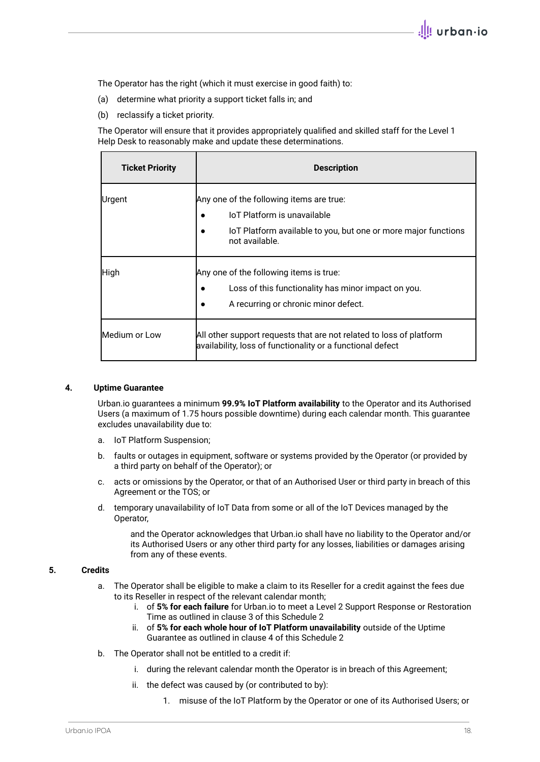The Operator has the right (which it must exercise in good faith) to:

- (a) determine what priority a support ticket falls in; and
- (b) reclassify a ticket priority.

The Operator will ensure that it provides appropriately qualified and skilled staff for the Level 1 Help Desk to reasonably make and update these determinations.

| <b>Ticket Priority</b> | <b>Description</b>                                                                                                                                          |
|------------------------|-------------------------------------------------------------------------------------------------------------------------------------------------------------|
| Urgent                 | Any one of the following items are true:<br>loT Platform is unavailable<br>IoT Platform available to you, but one or more major functions<br>not available. |
| High                   | Any one of the following items is true:<br>Loss of this functionality has minor impact on you.<br>A recurring or chronic minor defect.                      |
| Medium or Low          | All other support requests that are not related to loss of platform<br>availability, loss of functionality or a functional defect                           |

#### **4. Uptime Guarantee**

Urban.io guarantees a minimum **99.9% IoT Platform availability** to the Operator and its Authorised Users (a maximum of 1.75 hours possible downtime) during each calendar month. This guarantee excludes unavailability due to:

- a. IoT Platform Suspension;
- b. faults or outages in equipment, software or systems provided by the Operator (or provided by a third party on behalf of the Operator); or
- c. acts or omissions by the Operator, or that of an Authorised User or third party in breach of this Agreement or the TOS; or
- d. temporary unavailability of IoT Data from some or all of the IoT Devices managed by the Operator,

and the Operator acknowledges that Urban.io shall have no liability to the Operator and/or its Authorised Users or any other third party for any losses, liabilities or damages arising from any of these events.

### **5. Credits**

- a. The Operator shall be eligible to make a claim to its Reseller for a credit against the fees due to its Reseller in respect of the relevant calendar month;
	- i. of **5% for each failure** for Urban.io to meet a Level 2 Support Response or Restoration Time as outlined in clause 3 of this Schedule 2
	- ii. of **5% for each whole hour of IoT Platform unavailability** outside of the Uptime Guarantee as outlined in clause 4 of this Schedule 2
- b. The Operator shall not be entitled to a credit if:
	- i. during the relevant calendar month the Operator is in breach of this Agreement;
	- ii. the defect was caused by (or contributed to by):
		- 1. misuse of the IoT Platform by the Operator or one of its Authorised Users; or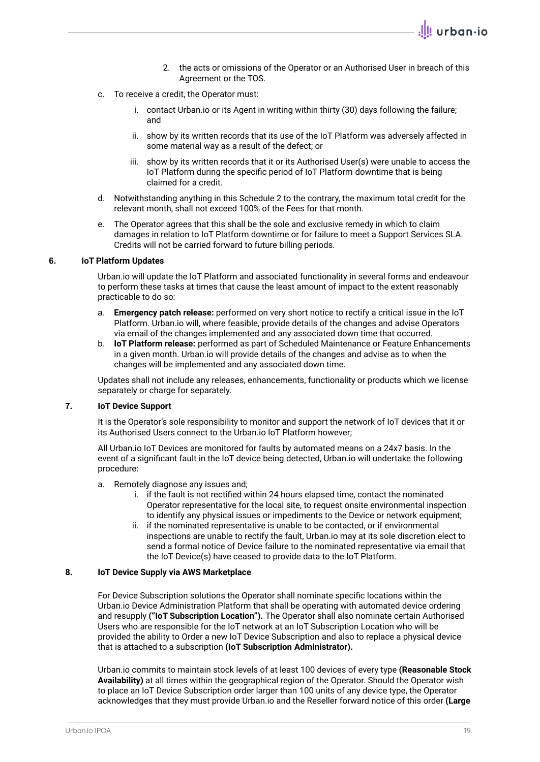- 2. the acts or omissions of the Operator or an Authorised User in breach of this Agreement or the TOS.
- c. To receive a credit, the Operator must:
	- i. contact Urban.io or its Agent in writing within thirty (30) days following the failure; and
	- ii. show by its written records that its use of the IoT Platform was adversely affected in some material way as a result of the defect; or
	- iii. show by its written records that it or its Authorised User(s) were unable to access the IoT Platform during the specific period of IoT Platform downtime that is being claimed for a credit.
- d. Notwithstanding anything in this Schedule 2 to the contrary, the maximum total credit for the relevant month, shall not exceed 100% of the Fees for that month.
- e. The Operator agrees that this shall be the sole and exclusive remedy in which to claim damages in relation to IoT Platform downtime or for failure to meet a Support Services SLA. Credits will not be carried forward to future billing periods.

#### **6. IoT Platform Updates**

Urban.io will update the IoT Platform and associated functionality in several forms and endeavour to perform these tasks at times that cause the least amount of impact to the extent reasonably practicable to do so:

- a. **Emergency patch release:** performed on very short notice to rectify a critical issue in the IoT Platform. Urban.io will, where feasible, provide details of the changes and advise Operators via email of the changes implemented and any associated down time that occurred.
- b. **IoT Platform release:** performed as part of Scheduled Maintenance or Feature Enhancements in a given month. Urban.io will provide details of the changes and advise as to when the changes will be implemented and any associated down time.

Updates shall not include any releases, enhancements, functionality or products which we license separately or charge for separately.

### **7. IoT Device Support**

It is the Operator's sole responsibility to monitor and support the network of IoT devices that it or its Authorised Users connect to the Urban.io IoT Platform however;

All Urban.io IoT Devices are monitored for faults by automated means on a 24x7 basis. In the event of a significant fault in the IoT device being detected, Urban.io will undertake the following procedure:

- a. Remotely diagnose any issues and;
	- i. if the fault is not rectified within 24 hours elapsed time, contact the nominated Operator representative for the local site, to request onsite environmental inspection to identify any physical issues or impediments to the Device or network equipment;
	- ii. if the nominated representative is unable to be contacted, or if environmental inspections are unable to rectify the fault, Urban.io may at its sole discretion elect to send a formal notice of Device failure to the nominated representative via email that the IoT Device(s) have ceased to provide data to the IoT Platform.

#### **8. IoT Device Supply via AWS Marketplace**

For Device Subscription solutions the Operator shall nominate specific locations within the Urban.io Device Administration Platform that shall be operating with automated device ordering and resupply **("IoT Subscription Location").** The Operator shall also nominate certain Authorised Users who are responsible for the IoT network at an IoT Subscription Location who will be provided the ability to Order a new IoT Device Subscription and also to replace a physical device that is attached to a subscription **(IoT Subscription Administrator).**

Urban.io commits to maintain stock levels of at least 100 devices of every type **(Reasonable Stock Availability)** at all times within the geographical region of the Operator. Should the Operator wish to place an IoT Device Subscription order larger than 100 units of any device type, the Operator acknowledges that they must provide Urban.io and the Reseller forward notice of this order **(Large**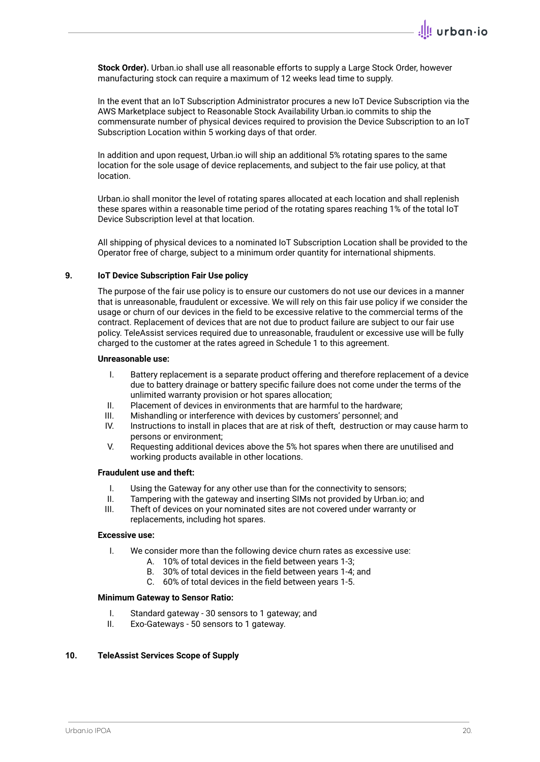**Stock Order).** Urban.io shall use all reasonable efforts to supply a Large Stock Order, however manufacturing stock can require a maximum of 12 weeks lead time to supply.

In the event that an IoT Subscription Administrator procures a new IoT Device Subscription via the AWS Marketplace subject to Reasonable Stock Availability Urban.io commits to ship the commensurate number of physical devices required to provision the Device Subscription to an IoT Subscription Location within 5 working days of that order.

In addition and upon request, Urban.io will ship an additional 5% rotating spares to the same location for the sole usage of device replacements, and subject to the fair use policy, at that location.

Urban.io shall monitor the level of rotating spares allocated at each location and shall replenish these spares within a reasonable time period of the rotating spares reaching 1% of the total IoT Device Subscription level at that location.

All shipping of physical devices to a nominated IoT Subscription Location shall be provided to the Operator free of charge, subject to a minimum order quantity for international shipments.

#### **9. IoT Device Subscription Fair Use policy**

The purpose of the fair use policy is to ensure our customers do not use our devices in a manner that is unreasonable, fraudulent or excessive. We will rely on this fair use policy if we consider the usage or churn of our devices in the field to be excessive relative to the commercial terms of the contract. Replacement of devices that are not due to product failure are subject to our fair use policy. TeleAssist services required due to unreasonable, fraudulent or excessive use will be fully charged to the customer at the rates agreed in Schedule 1 to this agreement.

#### **Unreasonable use:**

- I. Battery replacement is a separate product offering and therefore replacement of a device due to battery drainage or battery specific failure does not come under the terms of the unlimited warranty provision or hot spares allocation;
- II. Placement of devices in environments that are harmful to the hardware;
- III. Mishandling or interference with devices by customers' personnel; and
- IV. Instructions to install in places that are at risk of theft, destruction or may cause harm to persons or environment;
- V. Requesting additional devices above the 5% hot spares when there are unutilised and working products available in other locations.

#### **Fraudulent use and theft:**

- I. Using the Gateway for any other use than for the connectivity to sensors;
- II. Tampering with the gateway and inserting SIMs not provided by Urban.io; and<br>III. Theft of devices on your nominated sites are not covered under warranty or
- Theft of devices on your nominated sites are not covered under warranty or replacements, including hot spares.

#### **Excessive use:**

- I. We consider more than the following device churn rates as excessive use:
	- A. 10% of total devices in the field between years 1-3;
	- B. 30% of total devices in the field between years 1-4; and
	- C. 60% of total devices in the field between years 1-5.

#### **Minimum Gateway to Sensor Ratio:**

- I. Standard gateway 30 sensors to 1 gateway; and
- II. Exo-Gateways 50 sensors to 1 gateway.

#### **10. TeleAssist Services Scope of Supply**